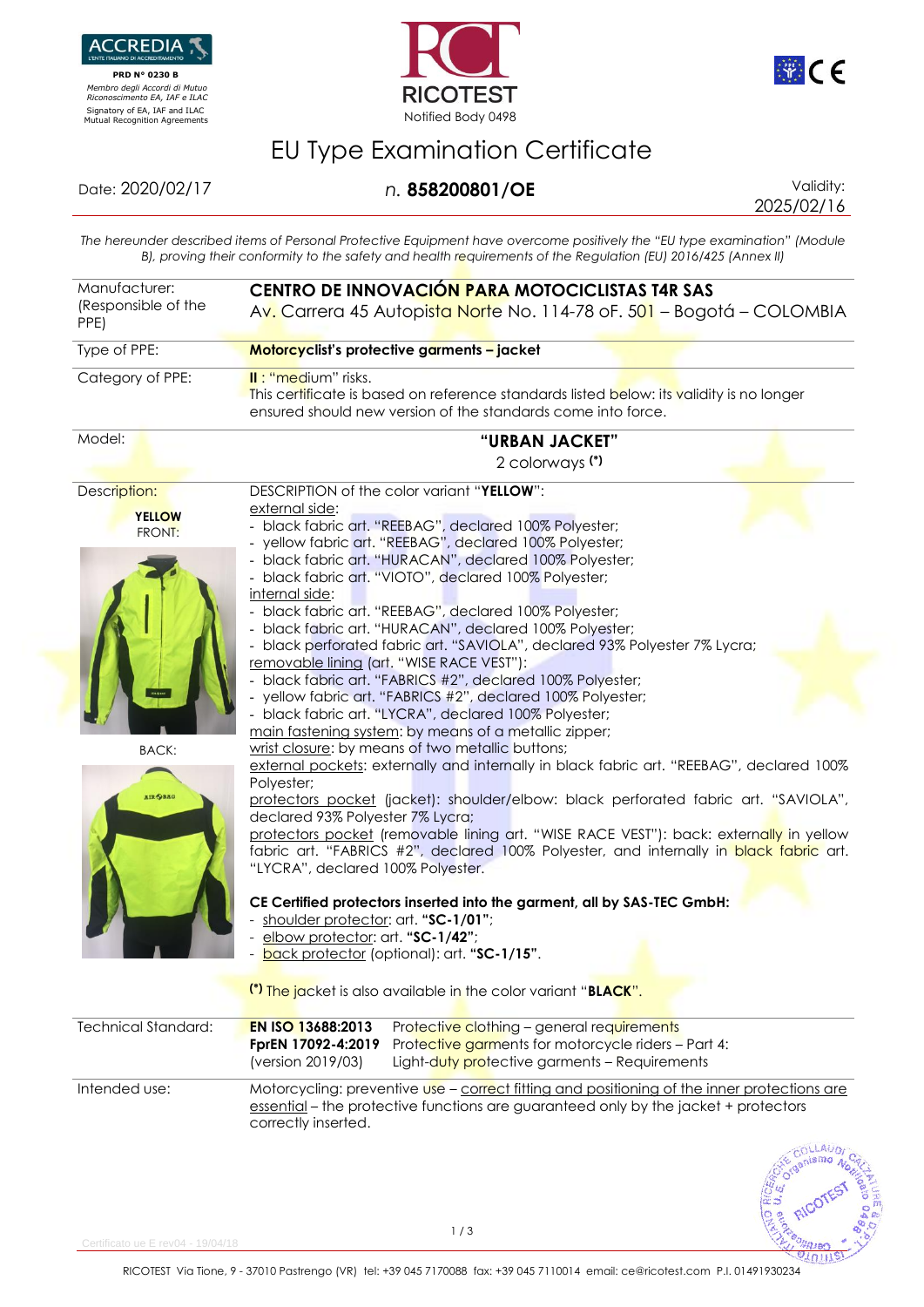

 **PRD N° 0230 B**  *Membro degli Accordi di Mutuo Riconoscimento EA, IAF e ILAC*





## EU Type Examination Certificate

Date: 2020/02/17 *n.* **858200801/OE** Validity:

2025/02/16

 $2011$ 

*The hereunder described items of Personal Protective Equipment have overcome positively the "EU type examination" (Module B), proving their conformity to the safety and health requirements of the Regulation (EU) 2016/425 (Annex II)*

| Manufacturer:<br>(Responsible of the<br>PPE)                   | CENTRO DE INNOVACIÓN PARA MOTOCICLISTAS T4R SAS<br>Av. Carrera 45 Autopista Norte No. 114-78 oF. 501 – Bogotá – COLOMBIA                                                                                                                                                                                                                                                                                                                                                                                                                                                                                                                                                                                                                                                                                                                                               |  |  |  |
|----------------------------------------------------------------|------------------------------------------------------------------------------------------------------------------------------------------------------------------------------------------------------------------------------------------------------------------------------------------------------------------------------------------------------------------------------------------------------------------------------------------------------------------------------------------------------------------------------------------------------------------------------------------------------------------------------------------------------------------------------------------------------------------------------------------------------------------------------------------------------------------------------------------------------------------------|--|--|--|
| Type of PPE:                                                   | Motorcyclist's protective garments - jacket                                                                                                                                                                                                                                                                                                                                                                                                                                                                                                                                                                                                                                                                                                                                                                                                                            |  |  |  |
| Category of PPE:                                               | II: "medium" risks.<br>This certificate is based on reference standards listed below: its validity is no longer<br>ensured should new version of the standards come into force.                                                                                                                                                                                                                                                                                                                                                                                                                                                                                                                                                                                                                                                                                        |  |  |  |
| Model:                                                         | "URBAN JACKET"<br>2 colorways (*)                                                                                                                                                                                                                                                                                                                                                                                                                                                                                                                                                                                                                                                                                                                                                                                                                                      |  |  |  |
|                                                                |                                                                                                                                                                                                                                                                                                                                                                                                                                                                                                                                                                                                                                                                                                                                                                                                                                                                        |  |  |  |
| Description:<br><b>YELLOW</b><br><b>FRONT:</b><br><b>BACK:</b> | DESCRIPTION of the color variant "YELLOW":<br>external side:<br>- black fabric art. "REEBAG", declared 100% Polyester;<br>- yellow fabric art. "REEBAG", declared 100% Polyester;<br>- black fabric art. "HURACAN", declared 100% Polyester;<br>- black fabric art. "VIOTO", declared 100% Polyester;<br>internal side:<br>- black fabric art. "REEBAG", declared 100% Polyester;<br>- black fabric art. "HURACAN", declared 100% Polyester;<br>- black perforated fabric art. "SAVIOLA", declared 93% Polyester 7% Lycra;<br>removable lining (art. "WISE RACE VEST"):<br>black fabric art. "FABRICS #2", declared 100% Polyester;<br>- yellow fabric art. "FABRICS #2", declared 100% Polyester;<br>black fabric art. "LYCRA", declared 100% Polyester;<br>main fastening system: by means of a metallic zipper;<br>wrist closure: by means of two metallic buttons; |  |  |  |
| <b>AIR OBAG</b>                                                | external pockets: externally and internally in black fabric art. "REEBAG", declared 100%<br>Polyester;<br>protectors pocket (jacket): shoulder/elbow: black perforated fabric art. "SAVIOLA",<br>declared 93% Polyester 7% Lycra;<br>protectors pocket (removable lining art. "WISE RACE VEST"): back: externally in yellow<br>fabric art. "FABRICS #2", declared 100% Polyester, and internally in black fabric art.<br>"LYCRA", declared 100% Polyester.<br>CE Certified protectors inserted into the garment, all by SAS-TEC GmbH:<br>shoulder protector: art. "SC-1/01";<br>elbow protector: art. "SC-1/42";<br>back protector (optional): art. "SC-1/15".<br>(*) The jacket is also available in the color variant "BLACK".                                                                                                                                       |  |  |  |
| <b>Technical Standard:</b>                                     | EN ISO 13688:2013<br>Protective clothing - general requirements<br>FprEN 17092-4:2019<br>Protective garments for motorcycle riders - Part 4:<br>Light-duty protective garments - Requirements<br>(version 2019/03)                                                                                                                                                                                                                                                                                                                                                                                                                                                                                                                                                                                                                                                     |  |  |  |
| Intended use:                                                  | Motorcycling: preventive use - correct fitting and positioning of the inner protections are<br>essential – the protective functions are guaranteed only by the jacket + protectors<br>correctly inserted.                                                                                                                                                                                                                                                                                                                                                                                                                                                                                                                                                                                                                                                              |  |  |  |

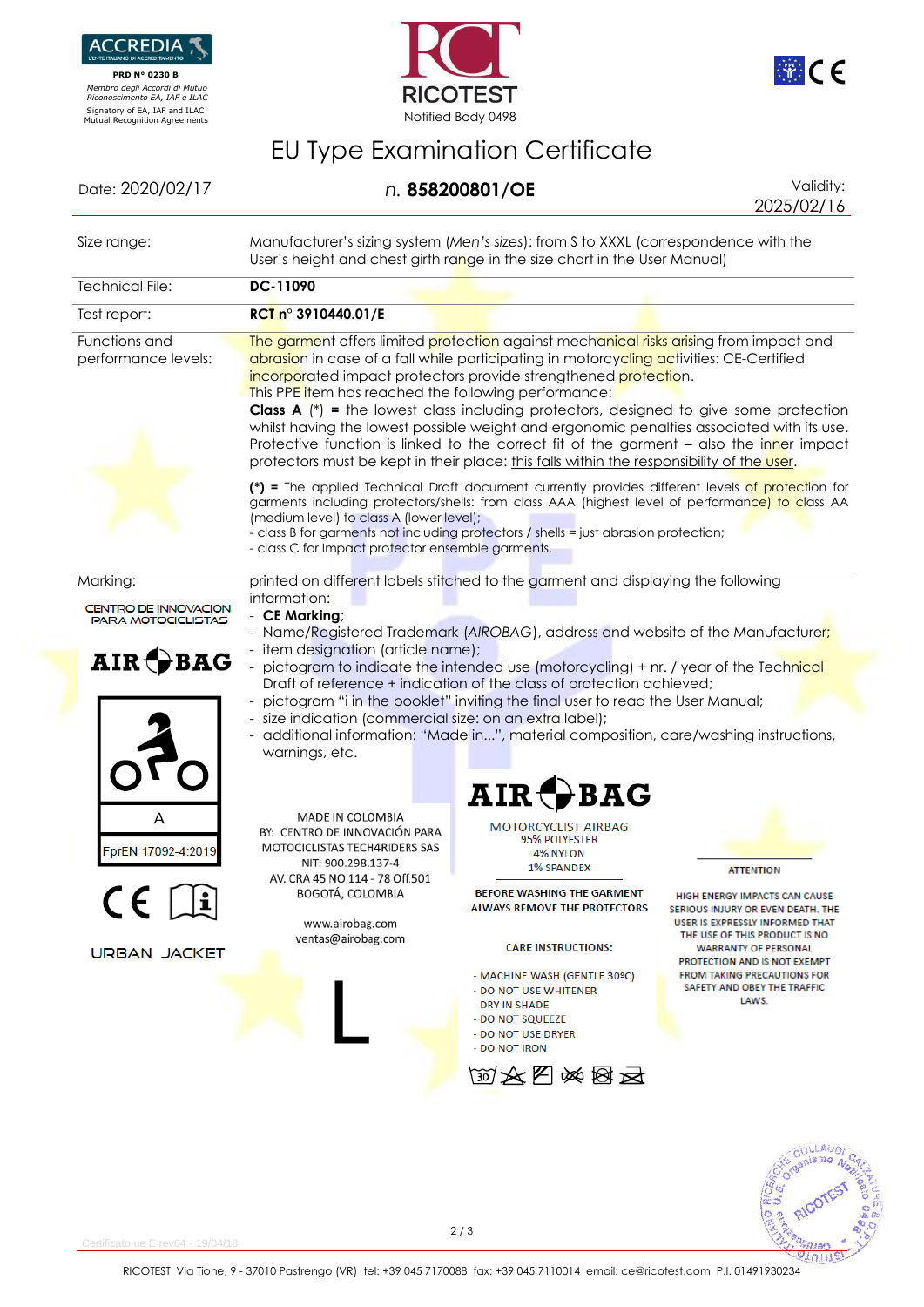

 **PRD N° 0230 B**  *Membro degli Accordi di Mutuo Riconoscimento EA, IAF e ILAC*





## EU Type Examination Certificate

Date: 2020/02/17 *n.* **858200801/OE** Validity:

2025/02/16

| Size range:                                                                     | Manufacturer's sizing system (Men's sizes): from S to XXXL (correspondence with the<br>User's height and chest girth range in the size chart in the User Manual)                                                                                                                                                                                                                                                                                                                                                                                                                                                                                                                                                                                                                                                                                                                                                                                                                                                                                                                                    |                                                                                                                                                                                                                                                                                                                                                  |                                                                                                                                                                                                                                                                                                                       |  |
|---------------------------------------------------------------------------------|-----------------------------------------------------------------------------------------------------------------------------------------------------------------------------------------------------------------------------------------------------------------------------------------------------------------------------------------------------------------------------------------------------------------------------------------------------------------------------------------------------------------------------------------------------------------------------------------------------------------------------------------------------------------------------------------------------------------------------------------------------------------------------------------------------------------------------------------------------------------------------------------------------------------------------------------------------------------------------------------------------------------------------------------------------------------------------------------------------|--------------------------------------------------------------------------------------------------------------------------------------------------------------------------------------------------------------------------------------------------------------------------------------------------------------------------------------------------|-----------------------------------------------------------------------------------------------------------------------------------------------------------------------------------------------------------------------------------------------------------------------------------------------------------------------|--|
| <b>Technical File:</b>                                                          | DC-11090                                                                                                                                                                                                                                                                                                                                                                                                                                                                                                                                                                                                                                                                                                                                                                                                                                                                                                                                                                                                                                                                                            |                                                                                                                                                                                                                                                                                                                                                  |                                                                                                                                                                                                                                                                                                                       |  |
| Test report:                                                                    | RCT n° 3910440.01/E                                                                                                                                                                                                                                                                                                                                                                                                                                                                                                                                                                                                                                                                                                                                                                                                                                                                                                                                                                                                                                                                                 |                                                                                                                                                                                                                                                                                                                                                  |                                                                                                                                                                                                                                                                                                                       |  |
| Functions and<br>performance levels:                                            | The garment offers limited protection against mechanical risks arising from impact and<br>abrasion in case of a fall while participating in motorcycling activities: CE-Certified<br>incorporated impact protectors provide strengthened protection.<br>This PPE item has reached the following performance:<br><b>Class A</b> $(*)$ = the lowest class including protectors, designed to give some protection<br>whilst having the lowest possible weight and ergonomic penalties associated with its use.<br>Protective function is linked to the correct fit of the garment - also the inner impact<br>protectors must be kept in their place: this falls within the responsibility of the user.<br>(*) = The applied Technical Draft document currently provides different levels of protection for<br>garments including protectors/shells: from class AAA (highest level of performance) to class AA<br>(medium level) to class A (lower level);<br>- class B for garments not including protectors / shells = just abrasion protection;<br>- class C for Impact protector ensemble garments. |                                                                                                                                                                                                                                                                                                                                                  |                                                                                                                                                                                                                                                                                                                       |  |
| Marking:<br><b>CENTRO DE INNOVACION</b><br><b>PARA MOTOCICLISTAS</b><br>AIR BAG | printed on different labels stitched to the garment and displaying the following<br>information:<br>- CE Marking:<br>- Name/Registered Trademark (AIROBAG), address and website of the Manufacturer;<br>- item designation (article name);<br>- pictogram to indicate the intended use (motorcycling) + nr. / year of the Technical<br>Draft of reference + indication of the class of protection achieved;<br>- pictogram "i in the booklet" inviting the final user to read the User Manual;<br>- size indication (commercial size: on an extra label);<br>- additional information: "Made in", material composition, care/washing instructions,<br>warnings, etc.                                                                                                                                                                                                                                                                                                                                                                                                                                |                                                                                                                                                                                                                                                                                                                                                  |                                                                                                                                                                                                                                                                                                                       |  |
| Α<br>FprEN 17092-4:2019<br><b>URBAN JACKET</b>                                  | MADE IN COLOMBIA<br>BY: CENTRO DE INNOVACIÓN PARA<br>MOTOCICLISTAS TECH4RIDERS SAS<br>NIT: 900.298.137-4<br>AV. CRA 45 NO 114 - 78 Off.501<br>BOGOTÁ, COLOMBIA<br>www.airobag.com<br>ventas@airobag.com                                                                                                                                                                                                                                                                                                                                                                                                                                                                                                                                                                                                                                                                                                                                                                                                                                                                                             | AIR BAG<br><b>MOTORCYCLIST AIRBAG</b><br>95% POLYESTER<br>4% NYLON<br><b>1% SPANDEX</b><br><b>BEFORE WASHING THE GARMENT</b><br><b>ALWAYS REMOVE THE PROTECTORS</b><br><b>CARE INSTRUCTIONS:</b><br>- MACHINE WASH (GENTLE 30°C)<br>- DO NOT USE WHITENER<br>- DRY IN SHADE<br>- DO NOT SQUEEZE<br>- DO NOT USE DRYER<br>- DO NOT IRON<br>网络日本图室 | <b>ATTENTION</b><br><b>HIGH ENERGY IMPACTS CAN CAUSE</b><br>SERIOUS INJURY OR EVEN DEATH. THE<br><b>USER IS EXPRESSLY INFORMED THAT</b><br>THE USE OF THIS PRODUCT IS NO<br><b>WARRANTY OF PERSONAL</b><br>PROTECTION AND IS NOT EXEMPT<br><b>FROM TAKING PRECAUTIONS FOR</b><br>SAFETY AND OBEY THE TRAFFIC<br>LAWS. |  |
|                                                                                 |                                                                                                                                                                                                                                                                                                                                                                                                                                                                                                                                                                                                                                                                                                                                                                                                                                                                                                                                                                                                                                                                                                     |                                                                                                                                                                                                                                                                                                                                                  | COLLAUDI                                                                                                                                                                                                                                                                                                              |  |